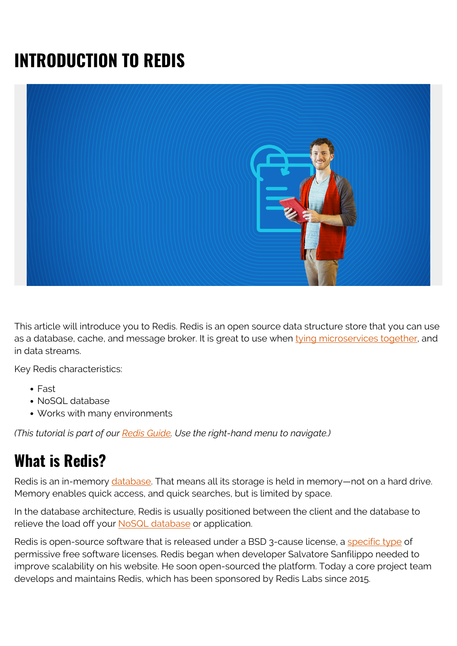# **INTRODUCTION TO REDIS**



This article will introduce you to Redis. Redis is an open source data structure store that you can use as a database, cache, and message broker. It is great to use when [tying microservices together,](https://blogs.bmc.com/blogs/microservices-best-practices/) and in data streams.

Key Redis characteristics:

- Fast
- NoSQL database
- Works with many environments

*(This tutorial is part of our [Redis Guide.](https://blogs.bmc.com/blogs/redis-data-types/) Use the right-hand menu to navigate.)*

#### **What is Redis?**

Redis is an in-memory [database.](https://blogs.bmc.com/blogs/data-lake-vs-data-warehouse-vs-database-whats-the-difference/) That means all its storage is held in memory—not on a hard drive. Memory enables quick access, and quick searches, but is limited by space.

In the database architecture, Redis is usually positioned between the client and the database to relieve the load off your [NoSQL database](https://blogs.bmc.com/blogs/sql-vs-nosql/) or application.

Redis is open-source software that is released under a BSD 3-cause license, a [specific type](https://en.wikipedia.org/wiki/BSD_licenses) of permissive free software licenses. Redis began when developer Salvatore Sanfilippo needed to improve scalability on his website. He soon open-sourced the platform. Today a core project team develops and maintains Redis, which has been sponsored by Redis Labs since 2015.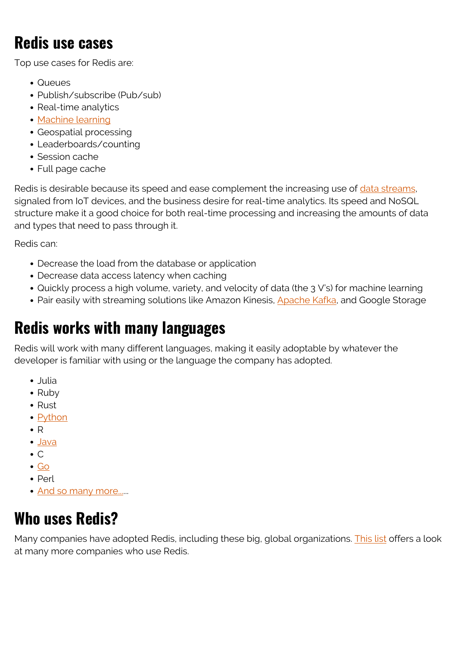#### **Redis use cases**

Top use cases for Redis are:

- Queues
- Publish/subscribe (Pub/sub)
- Real-time analytics
- [Machine learning](https://blogs.bmc.com/blogs/artificial-intelligence-vs-machine-learning/)
- Geospatial processing
- Leaderboards/counting
- Session cache
- Full page cache

Redis is desirable because its speed and ease complement the increasing use of [data streams](https://blogs.bmc.com/blogs/data-streaming/), signaled from IoT devices, and the business desire for real-time analytics. Its speed and NoSQL structure make it a good choice for both real-time processing and increasing the amounts of data and types that need to pass through it.

Redis can:

- Decrease the load from the database or application
- Decrease data access latency when caching
- Quickly process a high volume, variety, and velocity of data (the 3 V's) for machine learning
- Pair easily with streaming solutions like Amazon Kinesis, [Apache Kafka](https://blogs.bmc.com/blogs/working-streaming-twitter-data-using-kafka/), and Google Storage

#### **Redis works with many languages**

Redis will work with many different languages, making it easily adoptable by whatever the developer is familiar with using or the language the company has adopted.

- Julia
- Ruby
- Rust
- [Python](https://blogs.bmc.com/blogs/python-tooling/)
- $\bullet$  R
- [Java](https://blogs.bmc.com/blogs/python-vs-java/)
- $\bullet$  C
- $\bullet$  [Go](https://blogs.bmc.com/blogs/go-vs-python/)
- $\bullet$  Perl
- [And so many more....](https://redis.io/clients)..

#### **Who uses Redis?**

Many companies have adopted Redis, including these big, global organizations. [This list](https://techstacks.io/tech/redis) offers a look at many more companies who use Redis.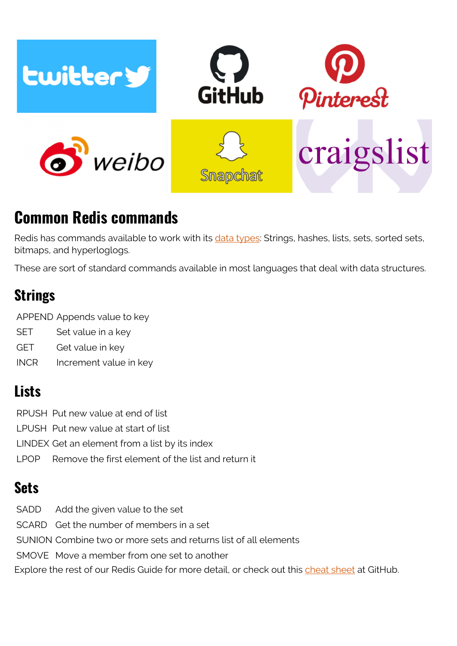

### **Common Redis commands**

Redis has commands available to work with its [data types:](https://blogs.bmc.com/blogs/redis-data-types/) Strings, hashes, lists, sets, sorted sets, bitmaps, and hyperloglogs.

These are sort of standard commands available in most languages that deal with data structures.

#### **Strings**

APPEND Appends value to key

- SET Set value in a key
- GET Get value in key
- INCR Increment value in key

#### **Lists**

RPUSH Put new value at end of list LPUSH Put new value at start of list LINDEX Get an element from a list by its index LPOP Remove the first element of the list and return it

#### **Sets**

SADD Add the given value to the set SCARD Get the number of members in a set SUNION Combine two or more sets and returns list of all elements SMOVE Move a member from one set to another Explore the rest of our Redis Guide for more detail, or check out this [cheat sheet](https://gist.github.com/LeCoupa/1596b8f359ad8812c7271b5322c30946) at GitHub.